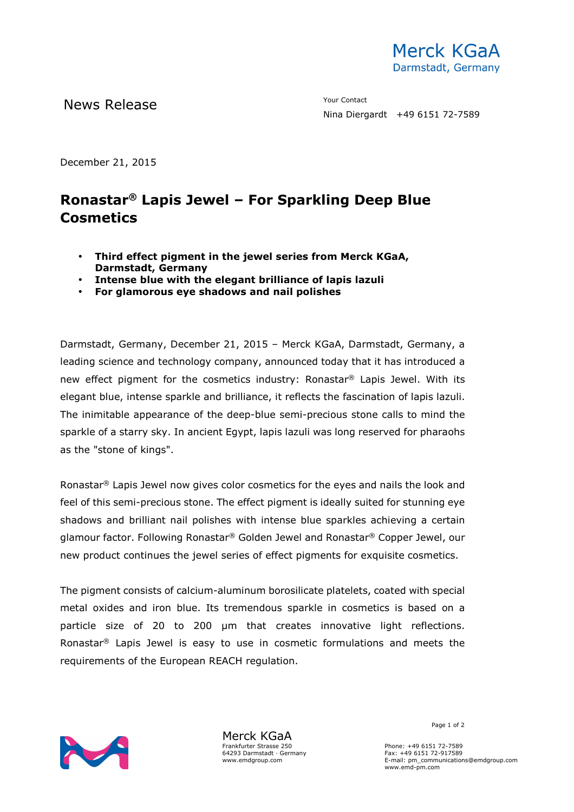

News Release The Contact Terms of the Mean of the Mean of the Vour Contact

Nina Diergardt +49 6151 72-7589

December 21, 2015

## **Ronastar® Lapis Jewel – For Sparkling Deep Blue Cosmetics**

- **Third effect pigment in the jewel series from Merck KGaA, Darmstadt, Germany**
- **Intense blue with the elegant brilliance of lapis lazuli**
- **For glamorous eye shadows and nail polishes**

Darmstadt, Germany, December 21, 2015 – Merck KGaA, Darmstadt, Germany, a leading science and technology company, announced today that it has introduced a new effect pigment for the cosmetics industry: Ronastar® Lapis Jewel. With its elegant blue, intense sparkle and brilliance, it reflects the fascination of lapis lazuli. The inimitable appearance of the deep-blue semi-precious stone calls to mind the sparkle of a starry sky. In ancient Egypt, lapis lazuli was long reserved for pharaohs as the "stone of kings".

Ronastar® Lapis Jewel now gives color cosmetics for the eyes and nails the look and feel of this semi-precious stone. The effect pigment is ideally suited for stunning eye shadows and brilliant nail polishes with intense blue sparkles achieving a certain glamour factor. Following Ronastar® Golden Jewel and Ronastar® Copper Jewel, our new product continues the jewel series of effect pigments for exquisite cosmetics.

The pigment consists of calcium-aluminum borosilicate platelets, coated with special metal oxides and iron blue. Its tremendous sparkle in cosmetics is based on a particle size of 20 to 200 µm that creates innovative light reflections. Ronastar® Lapis Jewel is easy to use in cosmetic formulations and meets the requirements of the European REACH regulation.



Merck KGaA Frankfurter Strasse 250 64293 Darmstadt · Germany www.emdgroup.com

Page 1 of 2

Phone: +49 6151 72-7589 Fax: +49 6151 72-917589 E-mail: pm\_communications@emdgroup.com www.emd-pm.com